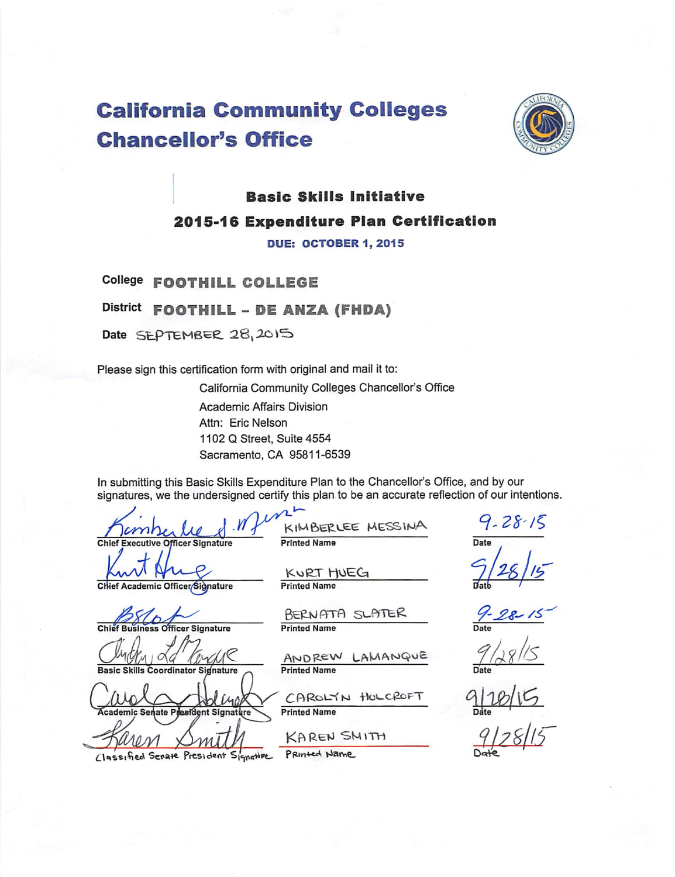# **California Community Colleges Chancellor's Office**



## **Basic Skills Initiative** 2015-16 Expenditure Plan Certification

**DUE: OCTOBER 1, 2015** 

College FOOTHILL COLLEGE

District FOOTHILL - DE ANZA (FHDA)

Date SEPTEMBER 28, 2015

Please sign this certification form with original and mail it to:

California Community Colleges Chancellor's Office **Academic Affairs Division** Attn: Eric Nelson 1102 Q Street, Suite 4554 Sacramento, CA 95811-6539

In submitting this Basic Skills Expenditure Plan to the Chancellor's Office, and by our signatures, we the undersigned certify this plan to be an accurate reflection of our intentions.

> KURT HUEG **Printed Name**

**Printed Name** 

**Chief Executive Officer Signature** 

Chief Academic Officer/Signature

**Officer Signature**  $Chi$ 

oordinator Signature

ademic Senate sident Signat Classified Senate President Signature

**Printed Name** 

BERNATA SLATER

KIMBERLEE MESSINA

LAMANQUE ANDREW **Printed Name** 

CAROLYN HOLCROFT **Printed Name** 

KAREN SMITH Printed Name

Date

 $9 - 28 - 15$ 

 $28 - 15$ 



 $9/28/15$ <br>Date  $9/28/15$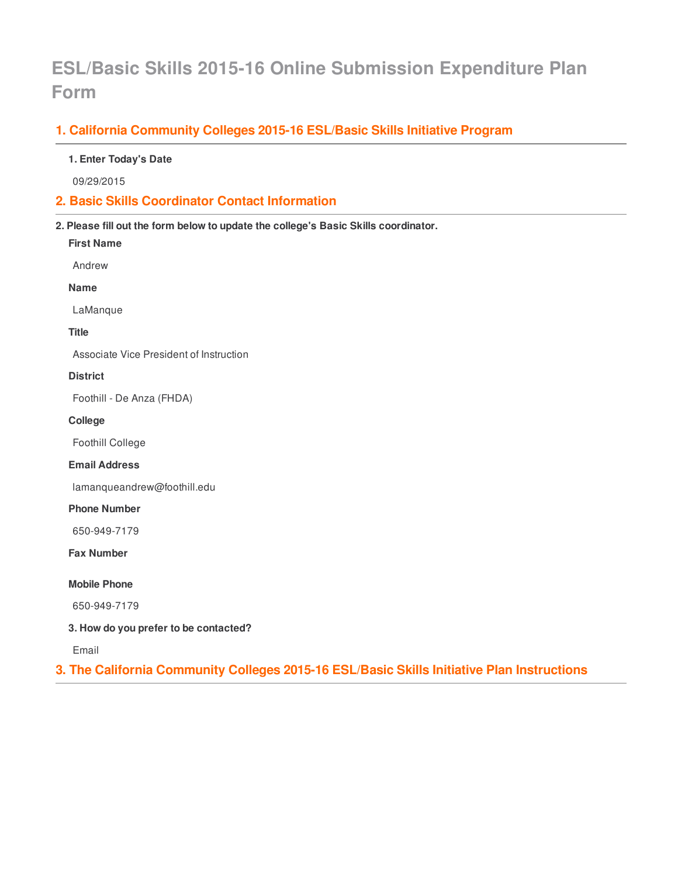## **ESL/Basic Skills 2015-16 Online Submission Expenditure Plan Form**

## **1. California Community Colleges 2015-16 ESL/Basic Skills Initiative Program**

#### **1. Enter Today's Date**

09/29/2015

### **2. Basic Skills Coordinator Contact Information**

**2. Please fill out the form below to update the college's Basic Skills coordinator.**

**First Name**

Andrew

**Name**

LaManque

**Title**

Associate Vice President of Instruction

#### **District**

Foothill - De Anza (FHDA)

**College**

Foothill College

**Email Address**

lamanqueandrew@foothill.edu

#### **Phone Number**

650-949-7179

**Fax Number**

**Mobile Phone**

650-949-7179

**3. How do you prefer to be contacted?**

Email

**3. The California Community Colleges 2015-16 ESL/Basic Skills Initiative Plan Instructions**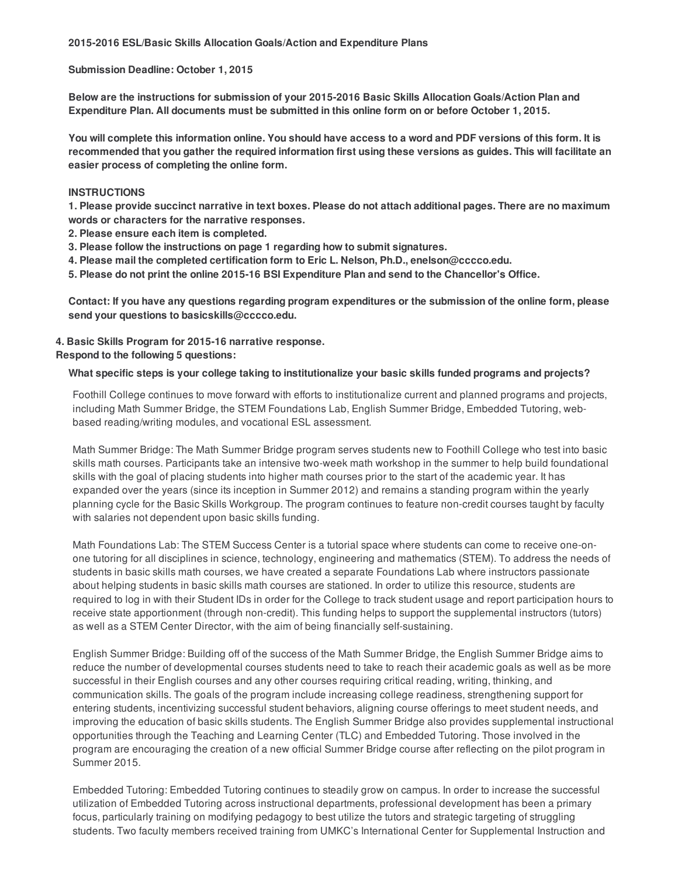**Submission Deadline: October 1, 2015**

**Below are the instructions for submission of your 2015-2016 Basic Skills Allocation Goals/Action Plan and Expenditure Plan. All documents must be submitted in this online form on or before October 1, 2015.**

You will complete this information online. You should have access to a word and PDF versions of this form. It is recommended that you gather the required information first using these versions as guides. This will facilitate an **easier process of completing the online form.**

#### **INSTRUCTIONS**

1. Please provide succinct narrative in text boxes. Please do not attach additional pages. There are no maximum **words or characters for the narrative responses.**

**2. Please ensure each item is completed.**

- **3. Please follow the instructions on page 1 regarding how to submit signatures.**
- **4. Please mail the completed certification form to Eric L. Nelson, Ph.D., enelson@cccco.edu.**
- **5. Please do not print the online 2015-16 BSI Expenditure Plan and send to the Chancellor's Office.**

Contact: If you have any questions regarding program expenditures or the submission of the online form, please **send your questions to basicskills@cccco.edu.**

#### **4. Basic Skills Program for 2015-16 narrative response.**

#### **Respond to the following 5 questions:**

#### **What specific steps is your college taking to institutionalize your basic skills funded programs and projects?**

Foothill College continues to move forward with efforts to institutionalize current and planned programs and projects, including Math Summer Bridge, the STEM Foundations Lab, English Summer Bridge, Embedded Tutoring, webbased reading/writing modules, and vocational ESL assessment.

Math Summer Bridge: The Math Summer Bridge program serves students new to Foothill College who test into basic skills math courses. Participants take an intensive two-week math workshop in the summer to help build foundational skills with the goal of placing students into higher math courses prior to the start of the academic year. It has expanded over the years (since its inception in Summer 2012) and remains a standing program within the yearly planning cycle for the Basic Skills Workgroup. The program continues to feature non-credit courses taught by faculty with salaries not dependent upon basic skills funding.

Math Foundations Lab: The STEM Success Center is a tutorial space where students can come to receive one-onone tutoring for all disciplines in science, technology, engineering and mathematics (STEM). To address the needs of students in basic skills math courses, we have created a separate Foundations Lab where instructors passionate about helping students in basic skills math courses are stationed. In order to utilize this resource, students are required to log in with their Student IDs in order for the College to track student usage and report participation hours to receive state apportionment (through non-credit). This funding helps to support the supplemental instructors (tutors) as well as a STEM Center Director, with the aim of being financially self-sustaining.

English Summer Bridge: Building off of the success of the Math Summer Bridge, the English Summer Bridge aims to reduce the number of developmental courses students need to take to reach their academic goals as well as be more successful in their English courses and any other courses requiring critical reading, writing, thinking, and communication skills. The goals of the program include increasing college readiness, strengthening support for entering students, incentivizing successful student behaviors, aligning course offerings to meet student needs, and improving the education of basic skills students. The English Summer Bridge also provides supplemental instructional opportunities through the Teaching and Learning Center (TLC) and Embedded Tutoring. Those involved in the program are encouraging the creation of a new official Summer Bridge course after reflecting on the pilot program in Summer 2015.

Embedded Tutoring: Embedded Tutoring continues to steadily grow on campus. In order to increase the successful utilization of Embedded Tutoring across instructional departments, professional development has been a primary focus, particularly training on modifying pedagogy to best utilize the tutors and strategic targeting of struggling students. Two faculty members received training from UMKC's International Center for Supplemental Instruction and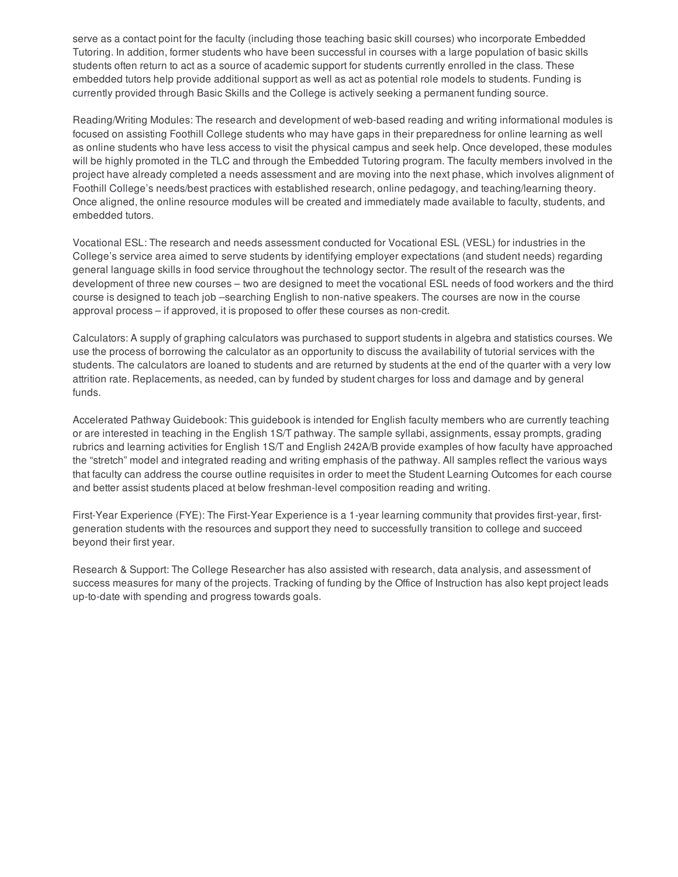serve as a contact point for the faculty (including those teaching basic skill courses) who incorporate Embedded Tutoring. In addition, former students who have been successful in courses with a large population of basic skills students often return to act as a source of academic support for students currently enrolled in the class. These embedded tutors help provide additional support as well as act as potential role models to students. Funding is currently provided through Basic Skills and the College is actively seeking a permanent funding source.

Reading/Writing Modules: The research and development of web-based reading and writing informational modules is focused on assisting Foothill College students who may have gaps in their preparedness for online learning as well as online students who have less access to visit the physical campus and seek help. Once developed, these modules will be highly promoted in the TLC and through the Embedded Tutoring program. The faculty members involved in the project have already completed a needs assessment and are moving into the next phase, which involves alignment of Foothill College's needs/best practices with established research, online pedagogy, and teaching/learning theory. Once aligned, the online resource modules will be created and immediately made available to faculty, students, and embedded tutors.

Vocational ESL: The research and needs assessment conducted for Vocational ESL (VESL) for industries in the College's service area aimed to serve students by identifying employer expectations (and student needs) regarding general language skills in food service throughout the technology sector. The result of the research was the development of three new courses – two are designed to meet the vocational ESL needs of food workers and the third course is designed to teach job –searching English to non-native speakers. The courses are now in the course approval process – if approved, it is proposed to offer these courses as non-credit.

Calculators: A supply of graphing calculators was purchased to support students in algebra and statistics courses. We use the process of borrowing the calculator as an opportunity to discuss the availability of tutorial services with the students. The calculators are loaned to students and are returned by students at the end of the quarter with a very low attrition rate. Replacements, as needed, can by funded by student charges for loss and damage and by general funds.

Accelerated Pathway Guidebook: This guidebook is intended for English faculty members who are currently teaching or are interested in teaching in the English 1S/T pathway. The sample syllabi, assignments, essay prompts, grading rubrics and learning activities for English 1S/T and English 242A/B provide examples of how faculty have approached the "stretch" model and integrated reading and writing emphasis of the pathway. All samples reflect the various ways that faculty can address the course outline requisites in order to meet the Student Learning Outcomes for each course and better assist students placed at below freshman-level composition reading and writing.

First-Year Experience (FYE): The First-Year Experience is a 1-year learning community that provides first-year, firstgeneration students with the resources and support they need to successfully transition to college and succeed beyond their first year.

Research & Support: The College Researcher has also assisted with research, data analysis, and assessment of success measures for many of the projects. Tracking of funding by the Office of Instruction has also kept project leads up-to-date with spending and progress towards goals.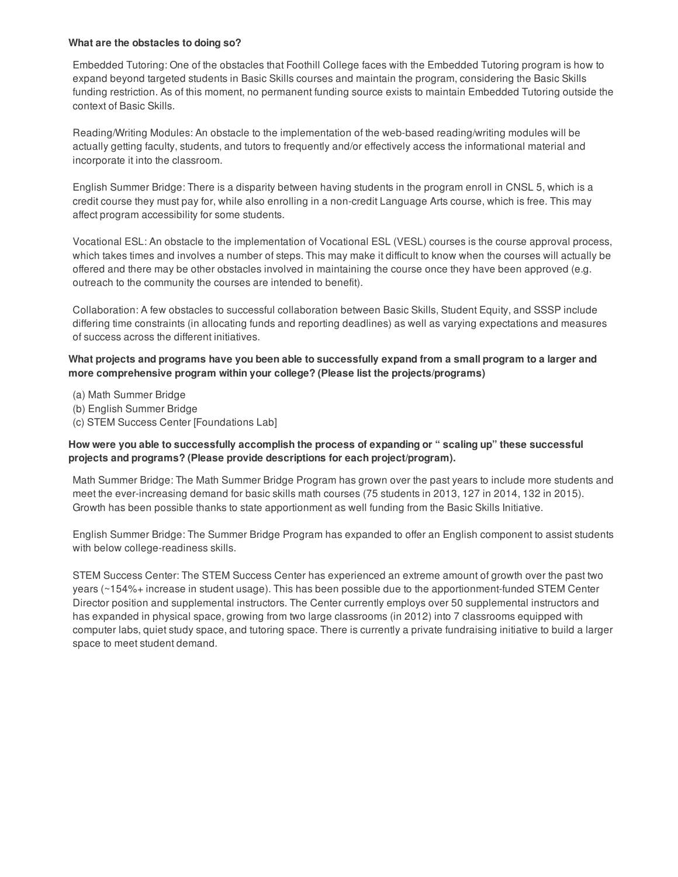#### **What are the obstacles to doing so?**

Embedded Tutoring: One of the obstacles that Foothill College faces with the Embedded Tutoring program is how to expand beyond targeted students in Basic Skills courses and maintain the program, considering the Basic Skills funding restriction. As of this moment, no permanent funding source exists to maintain Embedded Tutoring outside the context of Basic Skills.

Reading/Writing Modules: An obstacle to the implementation of the web-based reading/writing modules will be actually getting faculty, students, and tutors to frequently and/or effectively access the informational material and incorporate it into the classroom.

English Summer Bridge: There is a disparity between having students in the program enroll in CNSL 5, which is a credit course they must pay for, while also enrolling in a non-credit Language Arts course, which is free. This may affect program accessibility for some students.

Vocational ESL: An obstacle to the implementation of Vocational ESL (VESL) courses is the course approval process, which takes times and involves a number of steps. This may make it difficult to know when the courses will actually be offered and there may be other obstacles involved in maintaining the course once they have been approved (e.g. outreach to the community the courses are intended to benefit).

Collaboration: A few obstacles to successful collaboration between Basic Skills, Student Equity, and SSSP include differing time constraints (in allocating funds and reporting deadlines) as well as varying expectations and measures of success across the different initiatives.

What projects and programs have you been able to successfully expand from a small program to a larger and **more comprehensive program within your college? (Please list the projects/programs)**

(a) Math Summer Bridge

- (b) English Summer Bridge
- (c) STEM Success Center [Foundations Lab]

#### **How were you able to successfully accomplish the process of expanding or " scaling up" these successful projects and programs? (Please provide descriptions for each project/program).**

Math Summer Bridge: The Math Summer Bridge Program has grown over the past years to include more students and meet the ever-increasing demand for basic skills math courses (75 students in 2013, 127 in 2014, 132 in 2015). Growth has been possible thanks to state apportionment as well funding from the Basic Skills Initiative.

English Summer Bridge: The Summer Bridge Program has expanded to offer an English component to assist students with below college-readiness skills.

STEM Success Center: The STEM Success Center has experienced an extreme amount of growth over the past two years (~154%+ increase in student usage). This has been possible due to the apportionment-funded STEM Center Director position and supplemental instructors. The Center currently employs over 50 supplemental instructors and has expanded in physical space, growing from two large classrooms (in 2012) into 7 classrooms equipped with computer labs, quiet study space, and tutoring space. There is currently a private fundraising initiative to build a larger space to meet student demand.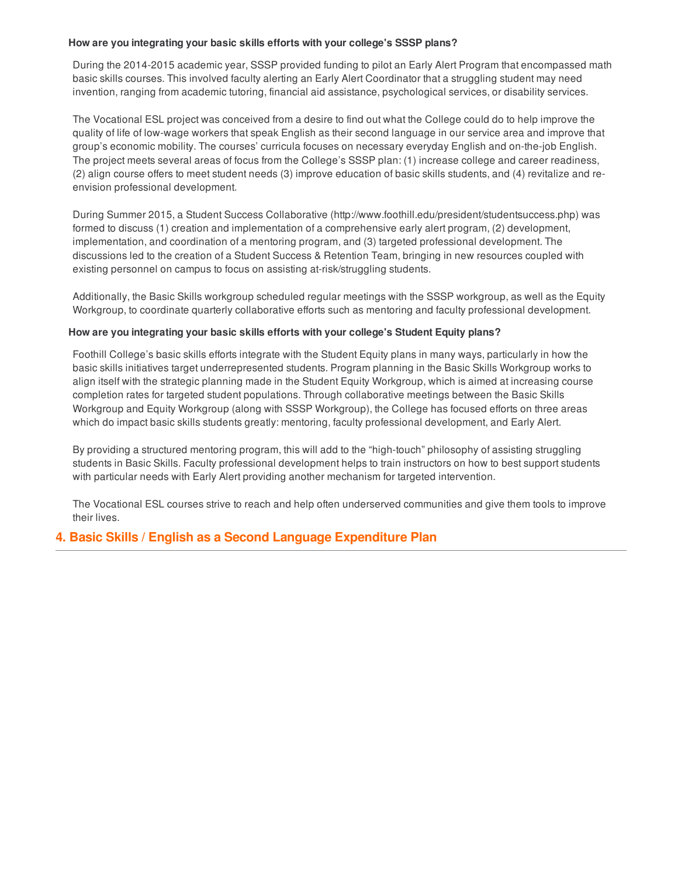#### **How are you integrating your basic skills efforts with your college's SSSP plans?**

During the 2014-2015 academic year, SSSP provided funding to pilot an Early Alert Program that encompassed math basic skills courses. This involved faculty alerting an Early Alert Coordinator that a struggling student may need invention, ranging from academic tutoring, financial aid assistance, psychological services, or disability services.

The Vocational ESL project was conceived from a desire to find out what the College could do to help improve the quality of life of low-wage workers that speak English as their second language in our service area and improve that group's economic mobility. The courses' curricula focuses on necessary everyday English and on-the-job English. The project meets several areas of focus from the College's SSSP plan: (1) increase college and career readiness, (2) align course offers to meet student needs (3) improve education of basic skills students, and (4) revitalize and reenvision professional development.

During Summer 2015, a Student Success Collaborative (http://www.foothill.edu/president/studentsuccess.php) was formed to discuss (1) creation and implementation of a comprehensive early alert program, (2) development, implementation, and coordination of a mentoring program, and (3) targeted professional development. The discussions led to the creation of a Student Success & Retention Team, bringing in new resources coupled with existing personnel on campus to focus on assisting at-risk/struggling students.

Additionally, the Basic Skills workgroup scheduled regular meetings with the SSSP workgroup, as well as the Equity Workgroup, to coordinate quarterly collaborative efforts such as mentoring and faculty professional development.

#### **How are you integrating your basic skills efforts with your college's Student Equity plans?**

Foothill College's basic skills efforts integrate with the Student Equity plans in many ways, particularly in how the basic skills initiatives target underrepresented students. Program planning in the Basic Skills Workgroup works to align itself with the strategic planning made in the Student Equity Workgroup, which is aimed at increasing course completion rates for targeted student populations. Through collaborative meetings between the Basic Skills Workgroup and Equity Workgroup (along with SSSP Workgroup), the College has focused efforts on three areas which do impact basic skills students greatly: mentoring, faculty professional development, and Early Alert.

By providing a structured mentoring program, this will add to the "high-touch" philosophy of assisting struggling students in Basic Skills. Faculty professional development helps to train instructors on how to best support students with particular needs with Early Alert providing another mechanism for targeted intervention.

The Vocational ESL courses strive to reach and help often underserved communities and give them tools to improve their lives.

#### **4. Basic Skills / English as a Second Language Expenditure Plan**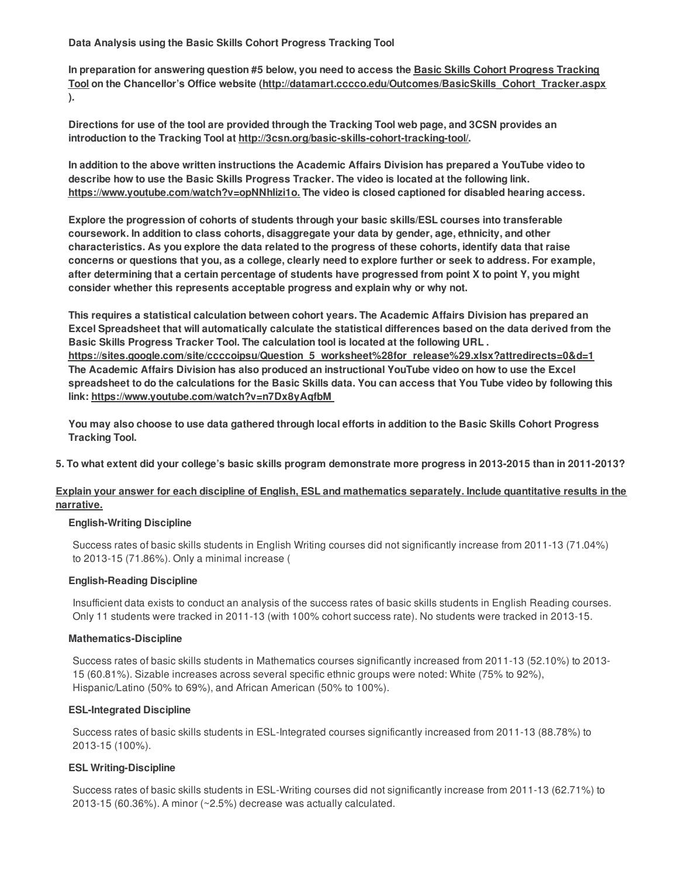**Data Analysis using the Basic Skills Cohort Progress Tracking Tool**

In preparation for answering question #5 below, you need to access the Basic Skills Cohort Progress Tracking **Tool on the Chancellor's Office website (http://datamart.cccco.edu/Outcomes/BasicSkills\_Cohort\_Tracker.aspx ).**

Directions for use of the tool are provided through the Tracking Tool web page, and 3CSN provides an **introduction to the Tracking Tool at http://3csn.org/basic-skills-cohort-tracking-tool/.**

In addition to the above written instructions the Academic Affairs Division has prepared a YouTube video to **describe how to use the Basic Skills Progress Tracker. The video is located at the following link. https://www.youtube.com/watch?v=opNNhIizi1o. The video is closed captioned for disabled hearing access.**

**Explore the progression of cohorts of students through your basic skills/ESL courses into transferable coursework. In addition to class cohorts, disaggregate your data by gender, age, ethnicity, and other** characteristics. As you explore the data related to the progress of these cohorts, identify data that raise concerns or questions that you, as a college, clearly need to explore further or seek to address. For example, after determining that a certain percentage of students have progressed from point X to point Y, you might **consider whether this represents acceptable progress and explain why or why not.**

**This requires a statistical calculation between cohort years. The Academic Affairs Division has prepared an** Excel Spreadsheet that will automatically calculate the statistical differences based on the data derived from the **Basic Skills Progress Tracker Tool. The calculation tool is located at the following URL . https://sites.google.com/site/ccccoipsu/Question\_5\_worksheet%28for\_release%29.xlsx?attredirects=0&d=1 The Academic Affairs Division has also produced an instructional YouTube video on how to use the Excel** spreadsheet to do the calculations for the Basic Skills data. You can access that You Tube video by following this **link: https://www.youtube.com/watch?v=n7Dx8yAqfbM**

You may also choose to use data gathered through local efforts in addition to the Basic Skills Cohort Progress **Tracking Tool.**

5. To what extent did your college's basic skills program demonstrate more progress in 2013-2015 than in 2011-2013?

#### Explain your answer for each discipline of English, ESL and mathematics separately. Include quantitative results in the **narrative.**

#### **English-Writing Discipline**

Success rates of basic skills students in English Writing courses did not significantly increase from 2011-13 (71.04%) to 2013-15 (71.86%). Only a minimal increase (

#### **English-Reading Discipline**

Insufficient data exists to conduct an analysis of the success rates of basic skills students in English Reading courses. Only 11 students were tracked in 2011-13 (with 100% cohort success rate). No students were tracked in 2013-15.

#### **Mathematics-Discipline**

Success rates of basic skills students in Mathematics courses significantly increased from 2011-13 (52.10%) to 2013- 15 (60.81%). Sizable increases across several specific ethnic groups were noted: White (75% to 92%), Hispanic/Latino (50% to 69%), and African American (50% to 100%).

#### **ESL-Integrated Discipline**

Success rates of basic skills students in ESL-Integrated courses significantly increased from 2011-13 (88.78%) to 2013-15 (100%).

#### **ESL Writing-Discipline**

Success rates of basic skills students in ESL-Writing courses did not significantly increase from 2011-13 (62.71%) to 2013-15 (60.36%). A minor (~2.5%) decrease was actually calculated.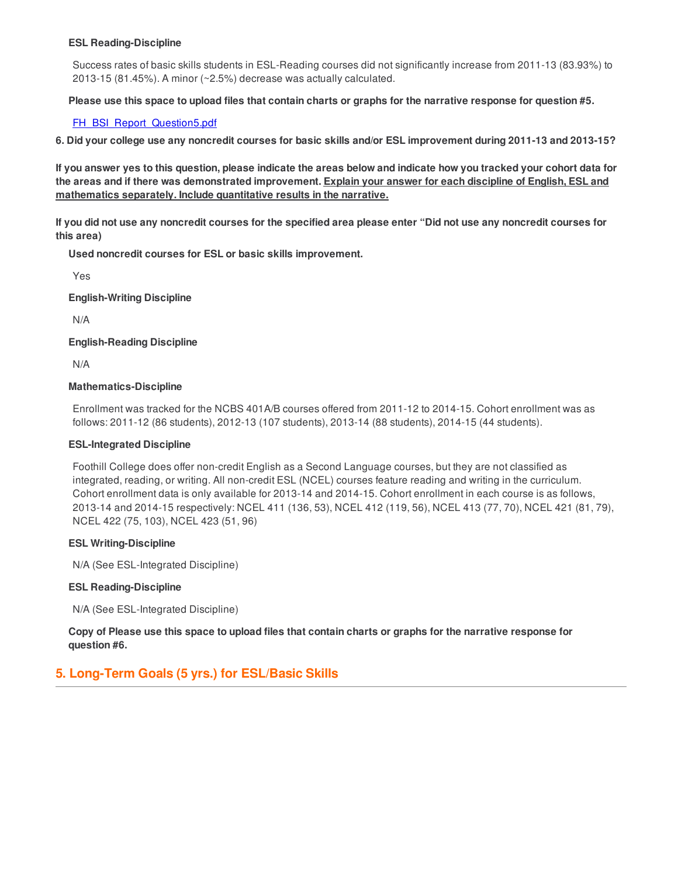#### **ESL Reading-Discipline**

Success rates of basic skills students in ESL-Reading courses did not significantly increase from 2011-13 (83.93%) to 2013-15 (81.45%). A minor (~2.5%) decrease was actually calculated.

Please use this space to upload files that contain charts or graphs for the narrative response for question #5.

#### [FH\\_BSI\\_Report\\_Question5.pdf](http://surveygizmoresponseuploads.s3.amazonaws.com/fileuploads/33727/2044455/243-25566ff9b561f5f6f98dde74b3b9635a_FH_BSI_Report_Question5.pdf)

6. Did your college use any noncredit courses for basic skills and/or ESL improvement during 2011-13 and 2013-15?

If you answer yes to this question, please indicate the areas below and indicate how you tracked your cohort data for the areas and if there was demonstrated improvement. Explain your answer for each discipline of English, ESL and **mathematics separately. Include quantitative results in the narrative.**

If you did not use any noncredit courses for the specified area please enter "Did not use any noncredit courses for **this area)**

**Used noncredit courses for ESL or basic skills improvement.**

Yes

**English-Writing Discipline**

N/A

**English-Reading Discipline**

N/A

#### **Mathematics-Discipline**

Enrollment was tracked for the NCBS 401A/B courses offered from 2011-12 to 2014-15. Cohort enrollment was as follows: 2011-12 (86 students), 2012-13 (107 students), 2013-14 (88 students), 2014-15 (44 students).

#### **ESL-Integrated Discipline**

Foothill College does offer non-credit English as a Second Language courses, but they are not classified as integrated, reading, or writing. All non-credit ESL (NCEL) courses feature reading and writing in the curriculum. Cohort enrollment data is only available for 2013-14 and 2014-15. Cohort enrollment in each course is as follows, 2013-14 and 2014-15 respectively: NCEL 411 (136, 53), NCEL 412 (119, 56), NCEL 413 (77, 70), NCEL 421 (81, 79), NCEL 422 (75, 103), NCEL 423 (51, 96)

#### **ESL Writing-Discipline**

N/A (See ESL-Integrated Discipline)

#### **ESL Reading-Discipline**

N/A (See ESL-Integrated Discipline)

Copy of Please use this space to upload files that contain charts or graphs for the narrative response for **question #6.**

### **5. Long-Term Goals (5 yrs.) for ESL/Basic Skills**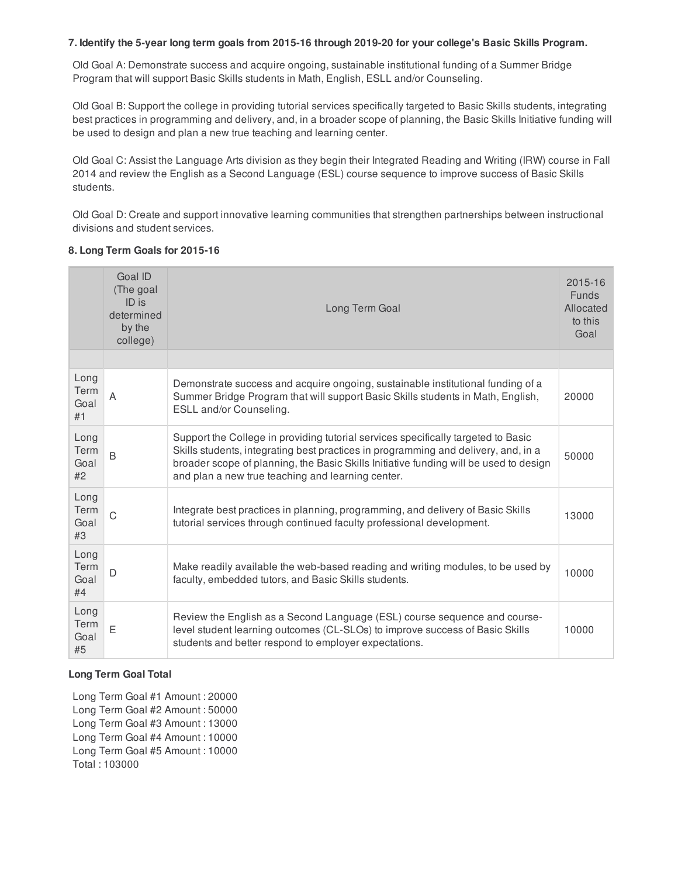#### 7. Identify the 5-year long term goals from 2015-16 through 2019-20 for your college's Basic Skills Program.

Old Goal A: Demonstrate success and acquire ongoing, sustainable institutional funding of a Summer Bridge Program that will support Basic Skills students in Math, English, ESLL and/or Counseling.

Old Goal B: Support the college in providing tutorial services specifically targeted to Basic Skills students, integrating best practices in programming and delivery, and, in a broader scope of planning, the Basic Skills Initiative funding will be used to design and plan a new true teaching and learning center.

Old Goal C: Assist the Language Arts division as they begin their Integrated Reading and Writing (IRW) course in Fall 2014 and review the English as a Second Language (ESL) course sequence to improve success of Basic Skills students.

Old Goal D: Create and support innovative learning communities that strengthen partnerships between instructional divisions and student services.

#### **8. Long Term Goals for 2015-16**

|                            | Goal ID<br>(The goal<br>ID is<br>determined<br>by the<br>college) | Long Term Goal                                                                                                                                                                                                                                                                                                        | 2015-16<br><b>Funds</b><br>Allocated<br>to this<br>Goal |
|----------------------------|-------------------------------------------------------------------|-----------------------------------------------------------------------------------------------------------------------------------------------------------------------------------------------------------------------------------------------------------------------------------------------------------------------|---------------------------------------------------------|
|                            |                                                                   |                                                                                                                                                                                                                                                                                                                       |                                                         |
| Long<br>Term<br>Goal<br>#1 | A                                                                 | Demonstrate success and acquire ongoing, sustainable institutional funding of a<br>Summer Bridge Program that will support Basic Skills students in Math, English,<br>ESLL and/or Counseling.                                                                                                                         | 20000                                                   |
| Long<br>Term<br>Goal<br>#2 | B                                                                 | Support the College in providing tutorial services specifically targeted to Basic<br>Skills students, integrating best practices in programming and delivery, and, in a<br>broader scope of planning, the Basic Skills Initiative funding will be used to design<br>and plan a new true teaching and learning center. | 50000                                                   |
| Long<br>Term<br>Goal<br>#3 | $\mathsf{C}$                                                      | Integrate best practices in planning, programming, and delivery of Basic Skills<br>tutorial services through continued faculty professional development.                                                                                                                                                              | 13000                                                   |
| Long<br>Term<br>Goal<br>#4 | D                                                                 | Make readily available the web-based reading and writing modules, to be used by<br>faculty, embedded tutors, and Basic Skills students.                                                                                                                                                                               | 10000                                                   |
| Long<br>Term<br>Goal<br>#5 | E                                                                 | Review the English as a Second Language (ESL) course sequence and course-<br>level student learning outcomes (CL-SLOs) to improve success of Basic Skills<br>students and better respond to employer expectations.                                                                                                    | 10000                                                   |

#### **Long Term Goal Total**

Long Term Goal #1 Amount : 20000 Long Term Goal #2 Amount : 50000 Long Term Goal #3 Amount : 13000 Long Term Goal #4 Amount : 10000 Long Term Goal #5 Amount : 10000 Total : 103000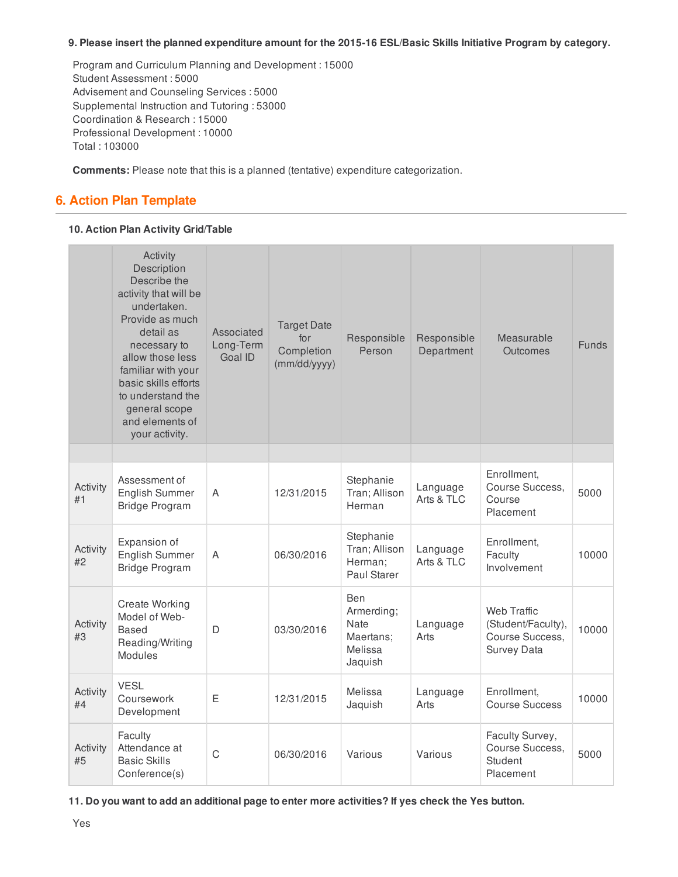#### **9. Please insert the planned expenditure amount for the 2015-16 ESL/Basic Skills Initiative Program by category.**

Program and Curriculum Planning and Development : 15000 Student Assessment : 5000 Advisement and Counseling Services : 5000 Supplemental Instruction and Tutoring : 53000 Coordination & Research : 15000 Professional Development : 10000 Total : 103000

**Comments:** Please note that this is a planned (tentative) expenditure categorization.

## **6. Action Plan Template**

#### **10. Action Plan Activity Grid/Table**

|                | Activity<br>Description<br>Describe the<br>activity that will be<br>undertaken.<br>Provide as much<br>detail as<br>necessary to<br>allow those less<br>familiar with your<br>basic skills efforts<br>to understand the<br>general scope<br>and elements of<br>your activity. | Associated<br>Long-Term<br>Goal ID | <b>Target Date</b><br>for<br>Completion<br>(mm/dd/yyyy) | Responsible<br>Person                                        | Responsible<br>Department | Measurable<br><b>Outcomes</b>                                                     | <b>Funds</b> |
|----------------|------------------------------------------------------------------------------------------------------------------------------------------------------------------------------------------------------------------------------------------------------------------------------|------------------------------------|---------------------------------------------------------|--------------------------------------------------------------|---------------------------|-----------------------------------------------------------------------------------|--------------|
|                |                                                                                                                                                                                                                                                                              |                                    |                                                         |                                                              |                           |                                                                                   |              |
| Activity<br>#1 | Assessment of<br><b>English Summer</b><br><b>Bridge Program</b>                                                                                                                                                                                                              | A                                  | 12/31/2015                                              | Stephanie<br>Tran; Allison<br>Herman                         | Language<br>Arts & TLC    | Enrollment,<br>Course Success,<br>Course<br>Placement                             | 5000         |
| Activity<br>#2 | Expansion of<br>English Summer<br><b>Bridge Program</b>                                                                                                                                                                                                                      | A                                  | 06/30/2016                                              | Stephanie<br>Tran; Allison<br>Herman;<br>Paul Starer         | Language<br>Arts & TLC    | Enrollment,<br>Faculty<br>Involvement                                             | 10000        |
| Activity<br>#3 | <b>Create Working</b><br>Model of Web-<br><b>Based</b><br>Reading/Writing<br>Modules                                                                                                                                                                                         | D                                  | 03/30/2016                                              | Ben<br>Armerding;<br>Nate<br>Maertans;<br>Melissa<br>Jaquish | Language<br>Arts          | <b>Web Traffic</b><br>(Student/Faculty),<br>Course Success,<br><b>Survey Data</b> | 10000        |
| Activity<br>#4 | <b>VESL</b><br>Coursework<br>Development                                                                                                                                                                                                                                     | E                                  | 12/31/2015                                              | Melissa<br>Jaquish                                           | Language<br>Arts          | Enrollment,<br><b>Course Success</b>                                              | 10000        |
| Activity<br>#5 | Faculty<br>Attendance at<br><b>Basic Skills</b><br>Conference(s)                                                                                                                                                                                                             | $\mathsf C$                        | 06/30/2016                                              | Various                                                      | Various                   | Faculty Survey,<br>Course Success,<br>Student<br>Placement                        | 5000         |

11. Do you want to add an additional page to enter more activities? If yes check the Yes button.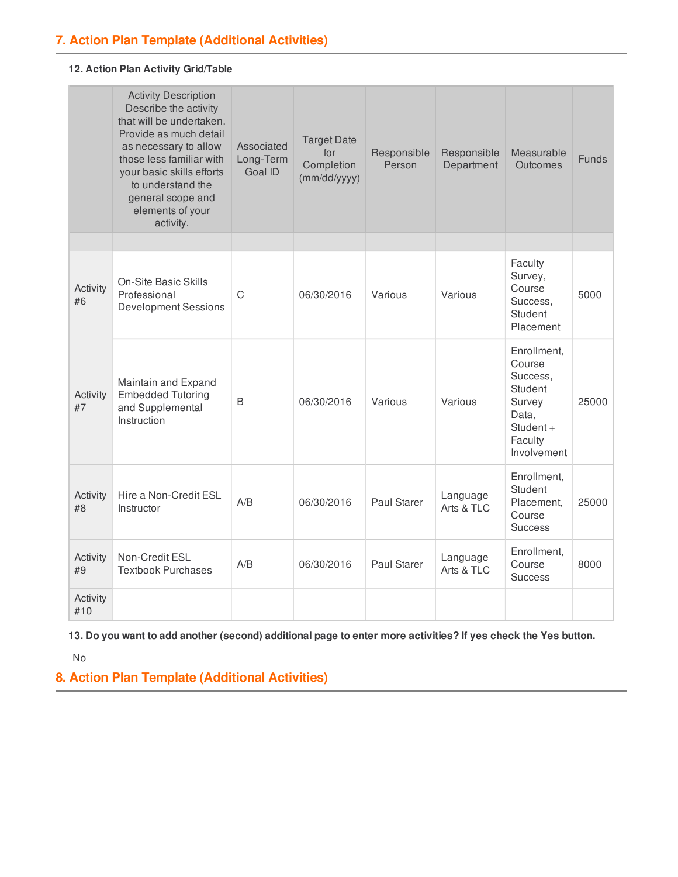#### **12. Action Plan Activity Grid/Table**

|                 | <b>Activity Description</b><br>Describe the activity<br>that will be undertaken.<br>Provide as much detail<br>as necessary to allow<br>those less familiar with<br>your basic skills efforts<br>to understand the<br>general scope and<br>elements of your<br>activity. | Associated<br>Long-Term<br>Goal ID | <b>Target Date</b><br>for<br>Completion<br>(mm/dd/yyyy) | Responsible<br>Person | Responsible<br>Department | Measurable<br>Outcomes                                                                                 | <b>Funds</b> |
|-----------------|-------------------------------------------------------------------------------------------------------------------------------------------------------------------------------------------------------------------------------------------------------------------------|------------------------------------|---------------------------------------------------------|-----------------------|---------------------------|--------------------------------------------------------------------------------------------------------|--------------|
|                 |                                                                                                                                                                                                                                                                         |                                    |                                                         |                       |                           |                                                                                                        |              |
| Activity<br>#6  | <b>On-Site Basic Skills</b><br>Professional<br><b>Development Sessions</b>                                                                                                                                                                                              | C                                  | 06/30/2016                                              | Various               | Various                   | Faculty<br>Survey,<br>Course<br>Success,<br>Student<br>Placement                                       | 5000         |
| Activity<br>#7  | Maintain and Expand<br><b>Embedded Tutoring</b><br>and Supplemental<br>Instruction                                                                                                                                                                                      | B                                  | 06/30/2016                                              | Various               | Various                   | Enrollment,<br>Course<br>Success.<br>Student<br>Survey<br>Data,<br>Student +<br>Faculty<br>Involvement | 25000        |
| Activity<br>#8  | Hire a Non-Credit ESL<br>Instructor                                                                                                                                                                                                                                     | A/B                                | 06/30/2016                                              | <b>Paul Starer</b>    | Language<br>Arts & TLC    | Enrollment,<br>Student<br>Placement,<br>Course<br><b>Success</b>                                       | 25000        |
| Activity<br>#9  | Non-Credit ESL<br><b>Textbook Purchases</b>                                                                                                                                                                                                                             | A/B                                | 06/30/2016                                              | <b>Paul Starer</b>    | Language<br>Arts & TLC    | Enrollment,<br>Course<br><b>Success</b>                                                                | 8000         |
| Activity<br>#10 |                                                                                                                                                                                                                                                                         |                                    |                                                         |                       |                           |                                                                                                        |              |

13. Do you want to add another (second) additional page to enter more activities? If yes check the Yes button.

No

**8. Action Plan Template (Additional Activities)**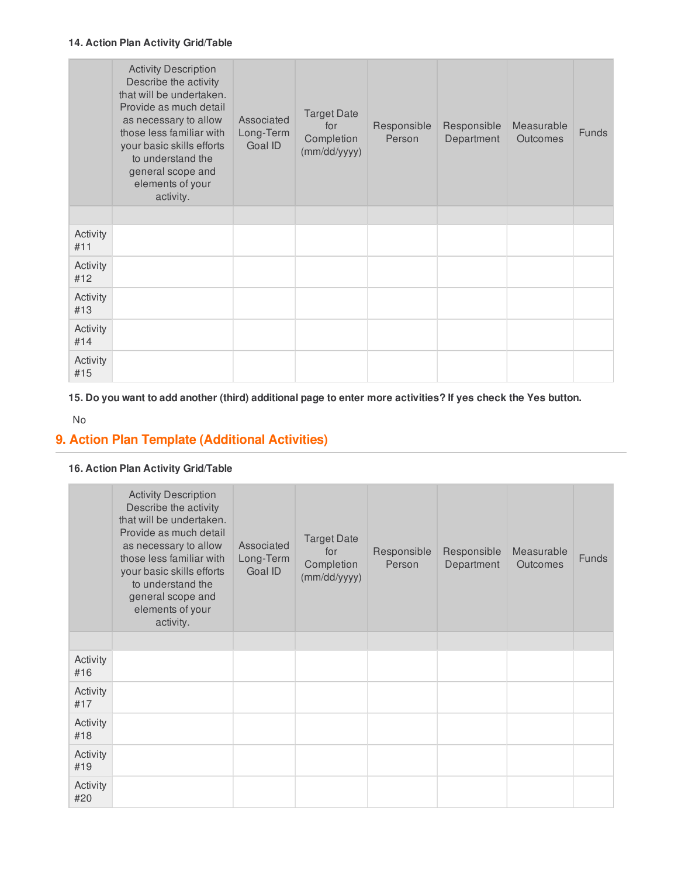#### **14. Action Plan Activity Grid/Table**

|                 | <b>Activity Description</b><br>Describe the activity<br>that will be undertaken.<br>Provide as much detail<br>as necessary to allow<br>those less familiar with<br>your basic skills efforts<br>to understand the<br>general scope and<br>elements of your<br>activity. | Associated<br>Long-Term<br>Goal ID | <b>Target Date</b><br>for<br>Completion<br>(mm/dd/yyyy) | Responsible<br>Person | Responsible<br>Department | Measurable<br>Outcomes | <b>Funds</b> |
|-----------------|-------------------------------------------------------------------------------------------------------------------------------------------------------------------------------------------------------------------------------------------------------------------------|------------------------------------|---------------------------------------------------------|-----------------------|---------------------------|------------------------|--------------|
|                 |                                                                                                                                                                                                                                                                         |                                    |                                                         |                       |                           |                        |              |
| Activity<br>#11 |                                                                                                                                                                                                                                                                         |                                    |                                                         |                       |                           |                        |              |
| Activity<br>#12 |                                                                                                                                                                                                                                                                         |                                    |                                                         |                       |                           |                        |              |
| Activity<br>#13 |                                                                                                                                                                                                                                                                         |                                    |                                                         |                       |                           |                        |              |
| Activity<br>#14 |                                                                                                                                                                                                                                                                         |                                    |                                                         |                       |                           |                        |              |
| Activity<br>#15 |                                                                                                                                                                                                                                                                         |                                    |                                                         |                       |                           |                        |              |

15. Do you want to add another (third) additional page to enter more activities? If yes check the Yes button.

No

## **9. Action Plan Template (Additional Activities)**

#### **16. Action Plan Activity Grid/Table**

|                 | <b>Activity Description</b><br>Describe the activity<br>that will be undertaken.<br>Provide as much detail<br>as necessary to allow<br>those less familiar with<br>your basic skills efforts<br>to understand the<br>general scope and<br>elements of your<br>activity. | Associated<br>Long-Term<br>Goal ID | <b>Target Date</b><br>for<br>Completion<br>(mm/dd/yyyy) | Responsible<br>Person | Responsible<br>Department | Measurable<br><b>Outcomes</b> | <b>Funds</b> |
|-----------------|-------------------------------------------------------------------------------------------------------------------------------------------------------------------------------------------------------------------------------------------------------------------------|------------------------------------|---------------------------------------------------------|-----------------------|---------------------------|-------------------------------|--------------|
|                 |                                                                                                                                                                                                                                                                         |                                    |                                                         |                       |                           |                               |              |
| Activity<br>#16 |                                                                                                                                                                                                                                                                         |                                    |                                                         |                       |                           |                               |              |
| Activity<br>#17 |                                                                                                                                                                                                                                                                         |                                    |                                                         |                       |                           |                               |              |
| Activity<br>#18 |                                                                                                                                                                                                                                                                         |                                    |                                                         |                       |                           |                               |              |
| Activity<br>#19 |                                                                                                                                                                                                                                                                         |                                    |                                                         |                       |                           |                               |              |
| Activity<br>#20 |                                                                                                                                                                                                                                                                         |                                    |                                                         |                       |                           |                               |              |